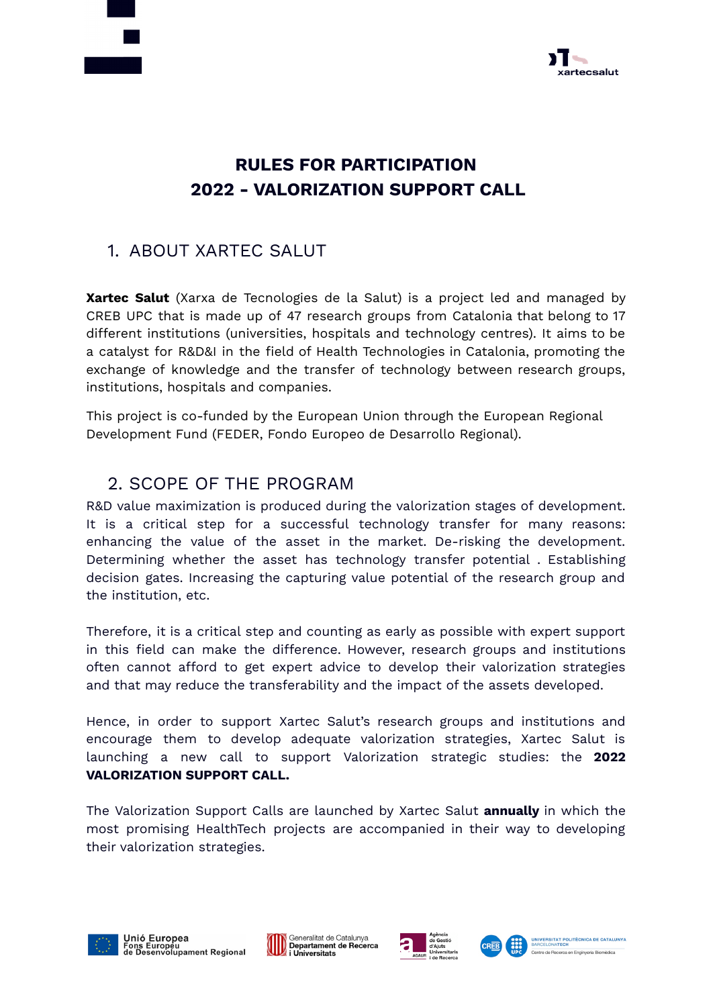



# **RULES FOR PARTICIPATION 2022 - VALORIZATION SUPPORT CALL**

## 1. ABOUT XARTEC SALUT

**Xartec Salut** (Xarxa de Tecnologies de la Salut) is a project led and managed by CREB UPC that is made up of 47 research groups from Catalonia that belong to 17 different institutions (universities, hospitals and technology centres). It aims to be a catalyst for R&D&I in the field of Health Technologies in Catalonia, promoting the exchange of knowledge and the transfer of technology between research groups, institutions, hospitals and companies.

This project is co-funded by the European Union through the European Regional Development Fund (FEDER, Fondo Europeo de Desarrollo Regional).

#### 2. SCOPE OF THE PROGRAM

R&D value maximization is produced during the valorization stages of development. It is a critical step for a successful technology transfer for many reasons: enhancing the value of the asset in the market. De-risking the development. Determining whether the asset has technology transfer potential . Establishing decision gates. Increasing the capturing value potential of the research group and the institution, etc.

Therefore, it is a critical step and counting as early as possible with expert support in this field can make the difference. However, research groups and institutions often cannot afford to get expert advice to develop their valorization strategies and that may reduce the transferability and the impact of the assets developed.

Hence, in order to support Xartec Salut's research groups and institutions and encourage them to develop adequate valorization strategies, Xartec Salut is launching a new call to support Valorization strategic studies: the **2022 VALORIZATION SUPPORT CALL.**

The Valorization Support Calls are launched by Xartec Salut **annually** in which the most promising HealthTech projects are accompanied in their way to developing their valorization strategies.







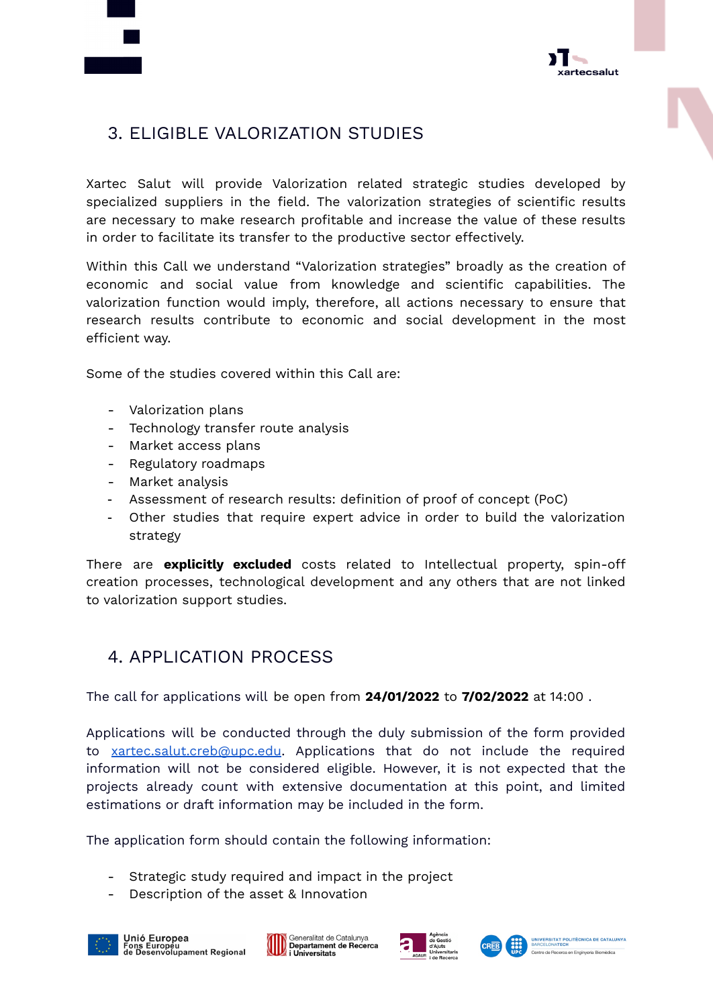



## 3. ELIGIBLE VALORIZATION STUDIES

Xartec Salut will provide Valorization related strategic studies developed by specialized suppliers in the field. The valorization strategies of scientific results are necessary to make research profitable and increase the value of these results in order to facilitate its transfer to the productive sector effectively.

Within this Call we understand "Valorization strategies" broadly as the creation of economic and social value from knowledge and scientific capabilities. The valorization function would imply, therefore, all actions necessary to ensure that research results contribute to economic and social development in the most efficient way.

Some of the studies covered within this Call are:

- Valorization plans
- Technology transfer route analysis
- Market access plans
- Regulatory roadmaps
- Market analysis
- Assessment of research results: definition of proof of concept (PoC)
- Other studies that require expert advice in order to build the valorization strategy

There are **explicitly excluded** costs related to Intellectual property, spin-off creation processes, technological development and any others that are not linked to valorization support studies.

### 4. APPLICATION PROCESS

The call for applications will be open from **24/01/2022** to **7/02/2022** at 14:00 .

Applications will be conducted through the duly submission of the form provided to [xartec.salut.creb@upc.edu](mailto:xartec.salut.creb@upc.edu). Applications that do not include the required information will not be considered eligible. However, it is not expected that the projects already count with extensive documentation at this point, and limited estimations or draft information may be included in the form.

The application form should contain the following information:

- Strategic study required and impact in the project
- Description of the asset & Innovation







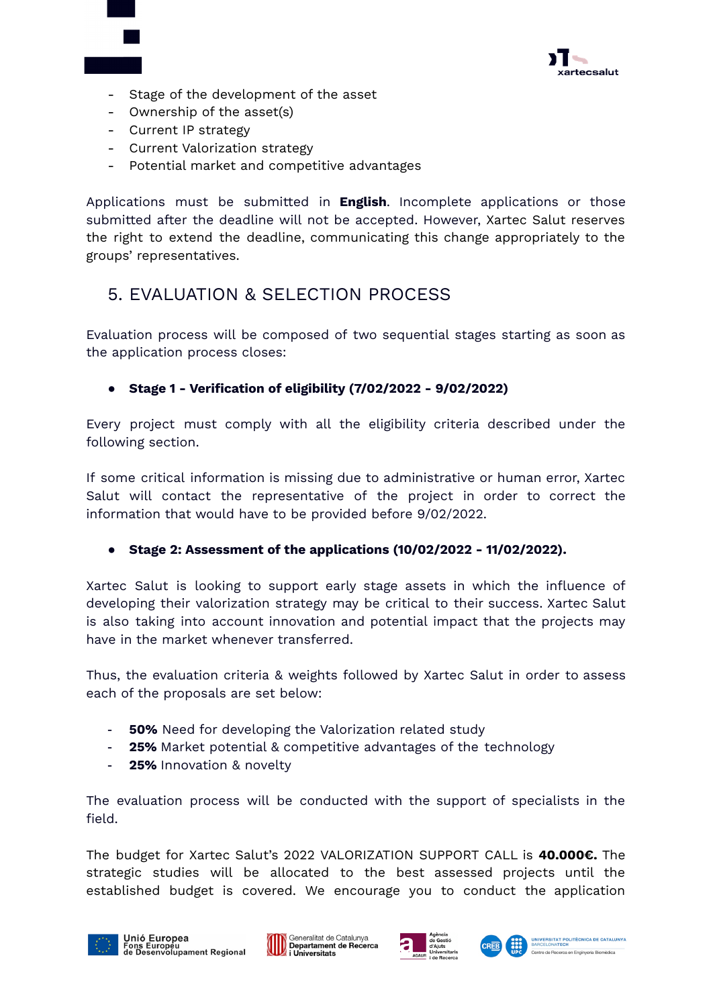

- Stage of the development of the asset
- Ownership of the asset(s)
- Current IP strategy
- Current Valorization strategy
- Potential market and competitive advantages

Applications must be submitted in **English**. Incomplete applications or those submitted after the deadline will not be accepted. However, Xartec Salut reserves the right to extend the deadline, communicating this change appropriately to the groups' representatives.

### 5. EVALUATION & SELECTION PROCESS

Evaluation process will be composed of two sequential stages starting as soon as the application process closes:

#### **● Stage 1 - Verification of eligibility (7/02/2022 - 9/02/2022)**

Every project must comply with all the eligibility criteria described under the following section.

If some critical information is missing due to administrative or human error, Xartec Salut will contact the representative of the project in order to correct the information that would have to be provided before 9/02/2022.

#### **● Stage 2: Assessment of the applications (10/02/2022 - 11/02/2022).**

Xartec Salut is looking to support early stage assets in which the influence of developing their valorization strategy may be critical to their success. Xartec Salut is also taking into account innovation and potential impact that the projects may have in the market whenever transferred.

Thus, the evaluation criteria & weights followed by Xartec Salut in order to assess each of the proposals are set below:

- **50%** Need for developing the Valorization related study
- **25%** Market potential & competitive advantages of the technology
- **25%** Innovation & novelty

The evaluation process will be conducted with the support of specialists in the field.

The budget for Xartec Salut's 2022 VALORIZATION SUPPORT CALL is **40.000€.** The strategic studies will be allocated to the best assessed projects until the established budget is covered. We encourage you to conduct the application